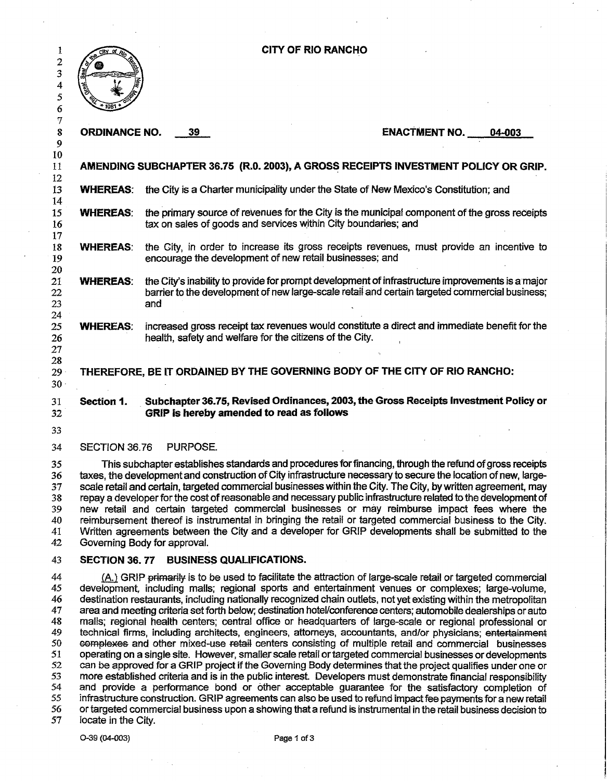| 1<br>2                                             | <b>CITY OF RIO RANCHO</b>                                                                                                                                                                                                                                                                                                                                                                                                                                                                                                                                                                                                                                                                                                                                                                                                                                                                                                                                                                                                 |                                                                                                                                                                                                           |          |                                                          |                                                                                              |        |  |
|----------------------------------------------------|---------------------------------------------------------------------------------------------------------------------------------------------------------------------------------------------------------------------------------------------------------------------------------------------------------------------------------------------------------------------------------------------------------------------------------------------------------------------------------------------------------------------------------------------------------------------------------------------------------------------------------------------------------------------------------------------------------------------------------------------------------------------------------------------------------------------------------------------------------------------------------------------------------------------------------------------------------------------------------------------------------------------------|-----------------------------------------------------------------------------------------------------------------------------------------------------------------------------------------------------------|----------|----------------------------------------------------------|----------------------------------------------------------------------------------------------|--------|--|
| 3                                                  |                                                                                                                                                                                                                                                                                                                                                                                                                                                                                                                                                                                                                                                                                                                                                                                                                                                                                                                                                                                                                           |                                                                                                                                                                                                           |          |                                                          |                                                                                              |        |  |
| 4<br>5                                             |                                                                                                                                                                                                                                                                                                                                                                                                                                                                                                                                                                                                                                                                                                                                                                                                                                                                                                                                                                                                                           |                                                                                                                                                                                                           |          |                                                          |                                                                                              |        |  |
| 6                                                  |                                                                                                                                                                                                                                                                                                                                                                                                                                                                                                                                                                                                                                                                                                                                                                                                                                                                                                                                                                                                                           |                                                                                                                                                                                                           |          |                                                          |                                                                                              |        |  |
| 7<br>8<br>9                                        | <b>ORDINANCE NO.</b>                                                                                                                                                                                                                                                                                                                                                                                                                                                                                                                                                                                                                                                                                                                                                                                                                                                                                                                                                                                                      |                                                                                                                                                                                                           | 39       |                                                          | <b>ENACTMENT NO.</b>                                                                         | 04-003 |  |
| 10<br>11<br>12                                     |                                                                                                                                                                                                                                                                                                                                                                                                                                                                                                                                                                                                                                                                                                                                                                                                                                                                                                                                                                                                                           |                                                                                                                                                                                                           |          |                                                          | AMENDING SUBCHAPTER 36.75 (R.O. 2003), A GROSS RECEIPTS INVESTMENT POLICY OR GRIP.           |        |  |
| 13<br>14                                           | <b>WHEREAS:</b>                                                                                                                                                                                                                                                                                                                                                                                                                                                                                                                                                                                                                                                                                                                                                                                                                                                                                                                                                                                                           |                                                                                                                                                                                                           |          |                                                          | the City is a Charter municipality under the State of New Mexico's Constitution; and         |        |  |
| 15<br>16<br>17                                     | the primary source of revenues for the City is the municipal component of the gross receipts<br><b>WHEREAS:</b><br>tax on sales of goods and services within City boundaries; and                                                                                                                                                                                                                                                                                                                                                                                                                                                                                                                                                                                                                                                                                                                                                                                                                                         |                                                                                                                                                                                                           |          |                                                          |                                                                                              |        |  |
| 18<br>19<br>20                                     | <b>WHEREAS:</b>                                                                                                                                                                                                                                                                                                                                                                                                                                                                                                                                                                                                                                                                                                                                                                                                                                                                                                                                                                                                           | the City, in order to increase its gross receipts revenues, must provide an incentive to<br>encourage the development of new retail businesses; and                                                       |          |                                                          |                                                                                              |        |  |
| 21<br>22<br>23<br>24                               | <b>WHEREAS:</b>                                                                                                                                                                                                                                                                                                                                                                                                                                                                                                                                                                                                                                                                                                                                                                                                                                                                                                                                                                                                           | the City's inability to provide for prompt development of infrastructure improvements is a major<br>barrier to the development of new large-scale retail and certain targeted commercial business;<br>and |          |                                                          |                                                                                              |        |  |
| 25<br>26<br>27                                     | <b>WHEREAS:</b>                                                                                                                                                                                                                                                                                                                                                                                                                                                                                                                                                                                                                                                                                                                                                                                                                                                                                                                                                                                                           |                                                                                                                                                                                                           |          | health, safety and welfare for the citizens of the City. | increased gross receipt tax revenues would constitute a direct and immediate benefit for the |        |  |
| 28<br>$29 -$<br>30 <sub>1</sub>                    | THEREFORE, BE IT ORDAINED BY THE GOVERNING BODY OF THE CITY OF RIO RANCHO:                                                                                                                                                                                                                                                                                                                                                                                                                                                                                                                                                                                                                                                                                                                                                                                                                                                                                                                                                |                                                                                                                                                                                                           |          |                                                          |                                                                                              |        |  |
| 31<br>32                                           | Section 1.                                                                                                                                                                                                                                                                                                                                                                                                                                                                                                                                                                                                                                                                                                                                                                                                                                                                                                                                                                                                                |                                                                                                                                                                                                           |          | GRIP is hereby amended to read as follows                | Subchapter 36.75, Revised Ordinances, 2003, the Gross Receipts Investment Policy or          |        |  |
| 33                                                 |                                                                                                                                                                                                                                                                                                                                                                                                                                                                                                                                                                                                                                                                                                                                                                                                                                                                                                                                                                                                                           |                                                                                                                                                                                                           |          |                                                          |                                                                                              |        |  |
| 34                                                 | SECTION 36.76                                                                                                                                                                                                                                                                                                                                                                                                                                                                                                                                                                                                                                                                                                                                                                                                                                                                                                                                                                                                             |                                                                                                                                                                                                           | PURPOSE. |                                                          |                                                                                              |        |  |
| 35<br>36<br>37<br>38<br>39<br>40<br>41<br>42       | This subchapter establishes standards and procedures for financing, through the refund of gross receipts<br>taxes, the development and construction of City infrastructure necessary to secure the location of new, large-<br>scale retail and certain, targeted commercial businesses within the City. The City, by written agreement, may<br>repay a developer for the cost of reasonable and necessary public infrastructure related to the development of<br>new retail and certain targeted commercial businesses or may reimburse impact fees where the<br>reimbursement thereof is instrumental in bringing the retail or targeted commercial business to the City.<br>Written agreements between the City and a developer for GRIP developments shall be submitted to the<br>Governing Body for approval.                                                                                                                                                                                                         |                                                                                                                                                                                                           |          |                                                          |                                                                                              |        |  |
| 43                                                 | SECTION 36, 77 BUSINESS QUALIFICATIONS.                                                                                                                                                                                                                                                                                                                                                                                                                                                                                                                                                                                                                                                                                                                                                                                                                                                                                                                                                                                   |                                                                                                                                                                                                           |          |                                                          |                                                                                              |        |  |
| 44<br>45<br>46<br>47<br>48<br>49<br>50<br>51<br>52 | (A.) GRIP primarily is to be used to facilitate the attraction of large-scale retail or targeted commercial<br>development, including malls; regional sports and entertainment venues or complexes; large-volume,<br>destination restaurants, including nationally recognized chain outlets, not yet existing within the metropolitan<br>area and meeting criteria set forth below; destination hotel/conference centers; automobile dealerships or auto<br>malls; regional health centers; central office or headquarters of large-scale or regional professional or<br>technical firms, including architects, engineers, attorneys, accountants, and/or physicians; entertainment<br>complexes and other mixed-use retail centers consisting of multiple retail and commercial businesses<br>operating on a single site. However, smaller scale retail or targeted commercial businesses or developments<br>can be approved for a GRIP project if the Governing Body determines that the project qualifies under one or |                                                                                                                                                                                                           |          |                                                          |                                                                                              |        |  |
| 53<br>54                                           | more established criteria and is in the public interest. Developers must demonstrate financial responsibility<br>and provide a performance bond or other acceptable guarantee for the satisfactory completion of                                                                                                                                                                                                                                                                                                                                                                                                                                                                                                                                                                                                                                                                                                                                                                                                          |                                                                                                                                                                                                           |          |                                                          |                                                                                              |        |  |

55 56 57 infrastructure construction. GRIP agreements can also be used to refund impact fee payments for a new retail or targeted commercial business upon a shOwing that a refund is instrumental in the retail business decision to

 $\sim 10^7$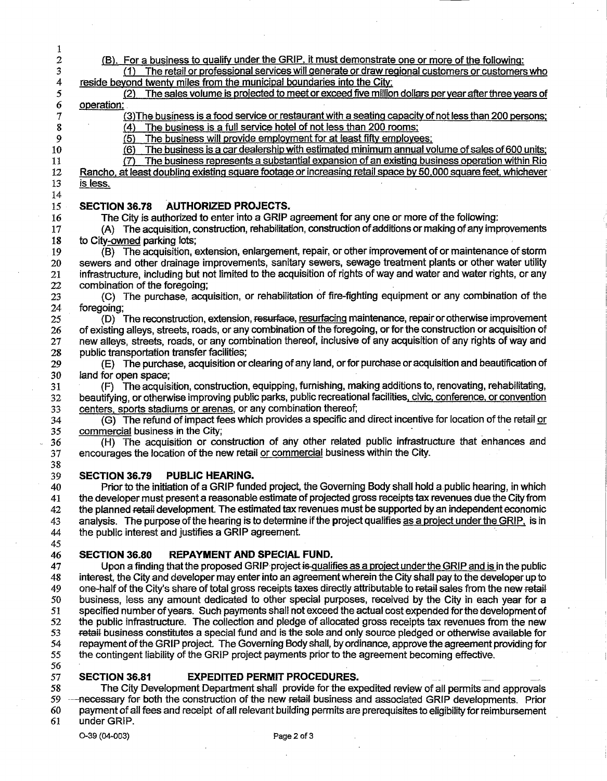1 2 3 4 5 6 7 8 9 10 11 12 13 14 15 16 17 18 19 20 21 22 23 24 25 26 27 28 29 30 31 32 33 34 35 36 37 38 39 40 41 42 43 44 45 46 47 48 49 50 51 52 53 54 55 56 57 58 59 60 61 (8). For a business to qualify under the GRIP, it must demonstrate one or more of the following: (1) The retail or professional services will generate or draw regional customers or customers who reside beyond twenty miles from the municipal boundaries into the City; (2) The sales volume is projected to meet orexceed five million dollars per year after three years of operation; (3) The business is a food service or restaurant with a seating capacity of not less than 200 persons;  $(4)$  The business is a full service hotel of not less than 200 rooms;<br> $(5)$  The business will provide employment for at least fifty employe The business will provide employment for at least fifty employees; (6) The business is a car dealership with estimated minimum annual volume of sales of 600 units; (7) The business represents a substantial expansion of an existing business operation within Rio Rancho, at least doubling existing square footage or increasing retail space by 50,000 square feet, whichever is less. SECTION 36.78 AUTHORIZED PROJECTS. The City is authorized to enter into a GRIP agreement for anyone or more of the following: (A) The acquisition, construction, rehabilitation, construction of additions or making of any improvements to City-owned parking lots; (B) The acquisition, extension, enlargement, repair, or other improvement of or maintenance of storm sewers and other drainage improvements, sanitary sewers, sewage treatment plants or other water utility infrastructure, including but not limited to the acquisition of rights of way and water and water rights, or any combination of the foregoing; (C) The purchase, acquisition, or rehabilitation of fire-fighting equipment or any combination of the foregoing; (D) The reconstruction, extension, resurface, resurfacing maintenance, repair orotherwise improvement of existing alleys, streets, roads, or any combination of the foregoing, or for the construction or acquisition of new alleys, streets, roads, or any combination thereof, inclusive of any acquisition of any rights of way arid public transportation transfer facilities; (E) The purchase, acquisition or clearing of any land, orfor purchase oracquisition and beautification of land for open space; (F) The acquisition, construction, equipping, furnishing, making additions to, renovating, rehabilitating, beautifying, or otherwise improving public parks, public recreational facilities, civic, conference, or convention centers, sports stadiums or arenas, or any combination thereof; (G) The refund of impact fees which provides a specific and direct incentive for location of the retail or commercial business in the City;  $(H)$  The acquisition or construction of any other related public infrastructure that enhances and encourages the location of the new retail or commercial business within the City. SECTION 36.79 PUBLIC HEARING. Prior to the initiation of a GRIP funded project, the Governing Body shall hold a public hearing, in which the developer must present a reasonable estimate of projected gross receipts tax revenues due the City from the planned retail development. The estimated tax revenues must be supported by an independent economic analysis. The purpose of the hearing is to determine if the project qualifies as a project under the GRIP, is in the public interest and justifies a GRIP agreement. SECTION 36.80 REPAYMENT AND SPECIAL FUND. Upon a finding that the proposed GRIP project is qualifies as a project under the GRIP and is in the public interest, the City and developer may enter into an agreement wherein the City shall pay to the developer up to one-half of the City's share of total gross receipts taxes directly attributable to retail sales from the new retail business, less any amount dedicated to other special purposes, received by the City in each year for a specified number of years. Such payments shall not exceed the actual cost expended for the development of the public infrastructure. The collection and pledge of allocated gross receipts tax revenues from the new retail business constitutes a special fund and is the sole and only source pledged or otherwise available for repayment of the GRIP project. The Governing Body shall, by ordinance, approve the agreement providing for the contingent liability of the GRIP project payments prior to the agreement becoming effective. SECTION 36.81 EXPEDITED PERMIT PROCEDURES. The City Development Department shall provide for the expedited review of all permits and approvals necessary for both the construction of the new retail business and associated GRIP developments. Prior payment of all fees and receipt of all relevant building permits are prerequisites to eligibility for reimbursement under GRIP. 0-39 (04-003) Page 2 of 3